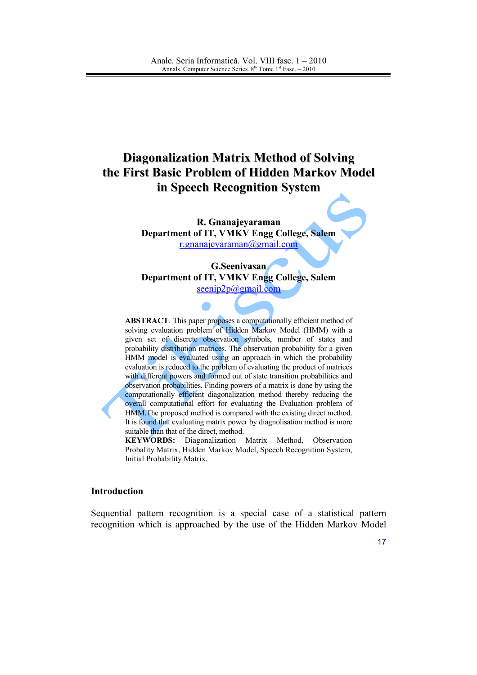# **Diagonalization Matrix Method of Solving** the First Basic Problem of Hidden Markov Model in Speech Recognition System

R. Gnanajevaraman Department of IT, VMKV Engg College, Salem r.gnanajeyaraman@gmail.com

G.Seenivasan Department of IT, VMKV Engg College, Salem  $\seenip2p$ @gmail.com

**ABSTRACT**. This paper proposes a computationally efficient method of solving evaluation problem of Hidden Markov Model (HMM) with a given set of discrete observation symbols, number of states and probability distribution matrices. The observation probability for a given HMM model is evaluated using an approach in which the probability evaluation is reduced to the problem of evaluating the product of matrices with different powers and formed out of state transition probabilities and observation probabilities. Finding powers of a matrix is done by using the computationally efficient diagonalization method thereby reducing the overall computational effort for evaluating the Evaluation problem of HMM. The proposed method is compared with the existing direct method. It is found that evaluating matrix power by diagnolisation method is more suitable than that of the direct, method.

KEYWORDS: Diagonalization Matrix Method, Observation Probality Matrix, Hidden Markov Model, Speech Recognition System, Initial Probability Matrix.

# **Introduction**

Sequential pattern recognition is a special case of a statistical pattern recognition which is approached by the use of the Hidden Markov Model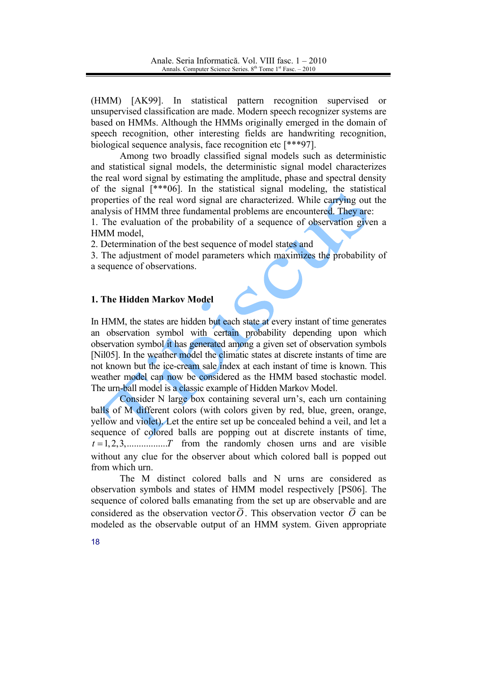(HMM) [AK99]. In statistical pattern recognition supervised or unsupervised classification are made. Modern speech recognizer systems are based on HMMs. Although the HMMs originally emerged in the domain of speech recognition, other interesting fields are handwriting recognition, biological sequence analysis, face recognition etc [\*\*\*97].

Among two broadly classified signal models such as deterministic and statistical signal models, the deterministic signal model characterizes the real word signal by estimating the amplitude, phase and spectral density of the signal  $[***06]$ . In the statistical signal modeling, the statistical properties of the real word signal are characterized. While carrying out the analysis of HMM three fundamental problems are encountered. They are:

1. The evaluation of the probability of a sequence of observation given a HMM model.

2. Determination of the best sequence of model states and

3. The adjustment of model parameters which maximizes the probability of a sequence of observations.

# 1. The Hidden Markov Model

In HMM, the states are hidden but each state at every instant of time generates an observation symbol with certain probability depending upon which observation symbol it has generated among a given set of observation symbols [Nil05]. In the weather model the climatic states at discrete instants of time are not known but the ice-cream sale index at each instant of time is known. This weather model can now be considered as the HMM based stochastic model. The urn-ball model is a classic example of Hidden Markov Model.

Consider N large box containing several urn's, each urn containing balls of M different colors (with colors given by red, blue, green, orange, yellow and violet). Let the entire set up be concealed behind a veil, and let a sequence of colored balls are popping out at discrete instants of time,  $t = 1, 2, 3, \dots, T$  from the randomly chosen urns and are visible without any clue for the observer about which colored ball is popped out from which urn.

The M distinct colored balls and N urns are considered as observation symbols and states of HMM model respectively [PS06]. The sequence of colored balls emanating from the set up are observable and are considered as the observation vector  $\overline{O}$ . This observation vector  $\overline{O}$  can be modeled as the observable output of an HMM system. Given appropriate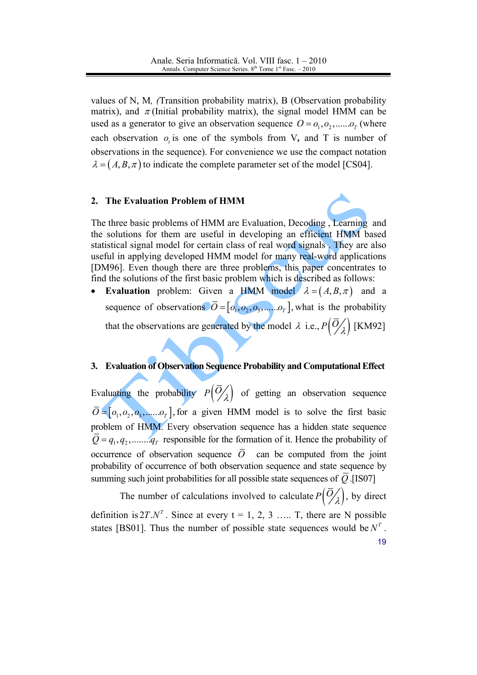values of N, M, (Transition probability matrix), B (Observation probability matrix), and  $\pi$ (Initial probability matrix), the signal model HMM can be used as a generator to give an observation sequence  $O = o_1, o_2, \dots o_r$  (where each observation  $o_t$  is one of the symbols from V, and T is number of observations in the sequence). For convenience we use the compact notation  $\lambda = (A, B, \pi)$  to indicate the complete parameter set of the model [CS04].

#### $2.$ The Evaluation Problem of HMM



The three basic problems of HMM are Evaluation, Decoding, Learning and the solutions for them are useful in developing an efficient HMM based statistical signal model for certain class of real word signals. They are also useful in applying developed HMM model for many real-word applications [DM96]. Even though there are three problems, this paper concentrates to find the solutions of the first basic problem which is described as follows:

**Evaluation** problem: Given a HMM model  $\lambda = (A, B, \pi)$  and a  $\bullet$ sequence of observations  $\overline{O} = [o_1, o_2, o_3, \dots, o_r]$ , what is the probability that the observations are generated by the model  $\lambda$  i.e.,  $P\left(\overline{O}_{\lambda}\right)$  [KM92]

# 3. Evaluation of Observation Sequence Probability and Computational Effect

Evaluating the probability  $P\left(\overline{O}_{\lambda}\right)$  of getting an observation sequence  $\overline{O} = [o_1, o_2, o_3, \dots, o_r]$ , for a given HMM model is to solve the first basic problem of HMM. Every observation sequence has a hidden state sequence  $\overline{Q} = q_1, q_2, \dots, q_T$  responsible for the formation of it. Hence the probability of occurrence of observation sequence  $\overline{O}$  can be computed from the joint probability of occurrence of both observation sequence and state sequence by summing such joint probabilities for all possible state sequences of  $\overline{Q}$ . [IS07]

The number of calculations involved to calculate  $P\left(\overline{O}_{\lambda}\right)$ , by direct definition is  $2T.N^T$ . Since at every  $t = 1, 2, 3, \dots$  T, there are N possible states [BS01]. Thus the number of possible state sequences would be  $N<sup>T</sup>$ . 19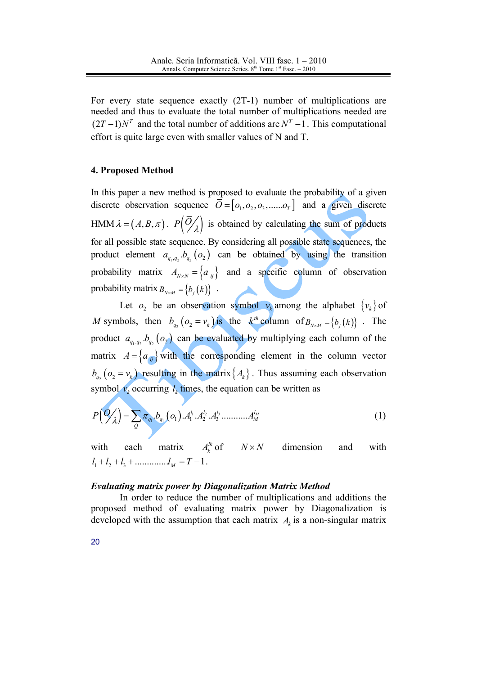For every state sequence exactly  $(2T-1)$  number of multiplications are needed and thus to evaluate the total number of multiplications needed are  $(2T-1)N^T$  and the total number of additions are  $N^T-1$ . This computational effort is quite large even with smaller values of N and T.

# 4. Proposed Method

In this paper a new method is proposed to evaluate the probability of a given discrete observation sequence  $\overline{O} = [o_1, o_2, o_3, \dots, o_r]$  and a given discrete HMM  $\lambda = (A, B, \pi)$ .  $P\left(\overline{O}_{\lambda}\right)$  is obtained by calculating the sum of products for all possible state sequence. By considering all possible state sequences, the product element  $a_{q_1,q_2}.b_{q_2}(o_2)$  can be obtained by using the transition probability matrix  $A_{N \times N} = \{a_{ij}\}\$ and a specific column of observation probability matrix  $B_{N \times M} = \{b_i(k)\}\;$ .

Let  $o_2$  be an observation symbol  $v_k$  among the alphabet  $\{v_k\}$  of M symbols, then  $b_{q_2}(o_2 = v_k)$  is the  $k^{th}$  column of  $B_{N \times M} = \{b_j(k)\}\$ . The product  $a_{q_1,q_2}, b_{q_2}$  ( $o_2$ ) can be evaluated by multiplying each column of the matrix  $A = \{a_{ij}\}\$  with the corresponding element in the column vector  $b_{q_2}(o_2 = v_k)$  resulting in the matrix  $\{A_k\}$ . Thus assuming each observation symbol  $v_k$  occurring  $l_k$  times, the equation can be written as

$$
P\left(Q_{\lambda}\right) = \sum_{Q} \pi_{q_1} b_{q_1}(o_1) A_1^{l_1} A_2^{l_2} A_3^{l_3} \dots \dots A_M^{l_M}
$$
\n(1)

with each matrix  $A_k^{\prime k}$  of  $N \times N$  dimension and with  $l_1 + l_2 + l_3 + \dots + l_M = T - 1$ .

#### **Evaluating matrix power by Diagonalization Matrix Method**

In order to reduce the number of multiplications and additions the proposed method of evaluating matrix power by Diagonalization is developed with the assumption that each matrix  $A_k$  is a non-singular matrix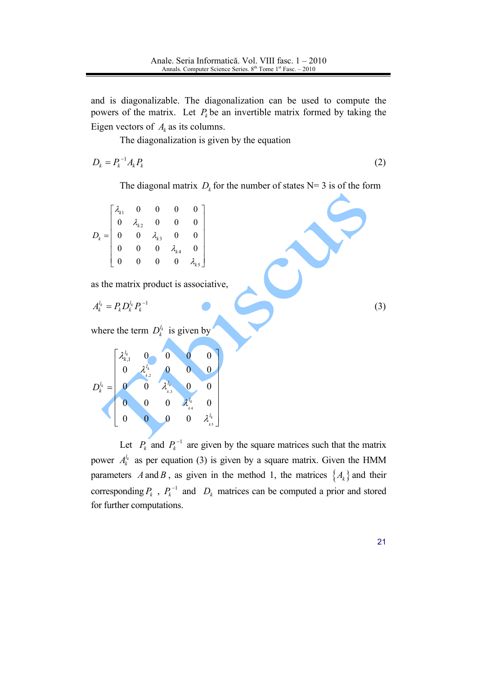and is diagonalizable. The diagonalization can be used to compute the powers of the matrix. Let  $P_k$  be an invertible matrix formed by taking the Eigen vectors of  $A_k$  as its columns.

The diagonalization is given by the equation

$$
D_k = P_k^{-1} A_k P_k \tag{2}
$$

The diagonal matrix  $D_k$  for the number of states N= 3 is of the form

| $=\begin{vmatrix} x_{k1} & 0 & 0 \\ 0 & \lambda_{k2} & 0 \\ 0 & 0 & \lambda_{k3} & 0 \\ 0 & 0 & 0 & \lambda_{k4} & 0 \\ 0 & 0 & 0 & 0 \end{vmatrix}$ |  |  |  |
|------------------------------------------------------------------------------------------------------------------------------------------------------|--|--|--|

as the matrix product is associative,

$$
A_k^{l_k} = P_k D_k^{l_k} P_k^{-1}
$$

where the term  $D_k^{l_k}$  is given by

|                     | $l_k$<br>k, |                  | $\overline{0}$ |                         |                          |
|---------------------|-------------|------------------|----------------|-------------------------|--------------------------|
|                     | 0           | $\iota_k$<br>k,2 | 0              | $\overline{0}$          | 0                        |
| $\iota_k$<br>D<br>k |             | U                | $l_k$<br>k,3   | $\pmb{0}$               | 0                        |
|                     | 0           | 0                | $\overline{0}$ | $l_k$<br>k <sub>4</sub> | 0                        |
|                     | 0           | 0                | IJ             | $\pmb{0}$               | $l_k$<br>h<br>$k$ 5<br>┙ |

Let  $P_k$  and  $P_k^{-1}$  are given by the square matrices such that the matrix power  $A_k^{l_k}$  as per equation (3) is given by a square matrix. Given the HMM parameters A and B, as given in the method 1, the matrices  $\{A_k\}$  and their corresponding  $P_k$ ,  $P_k^{-1}$  and  $D_k$  matrices can be computed a prior and stored for further computations.

 $21$ 

 $(3)$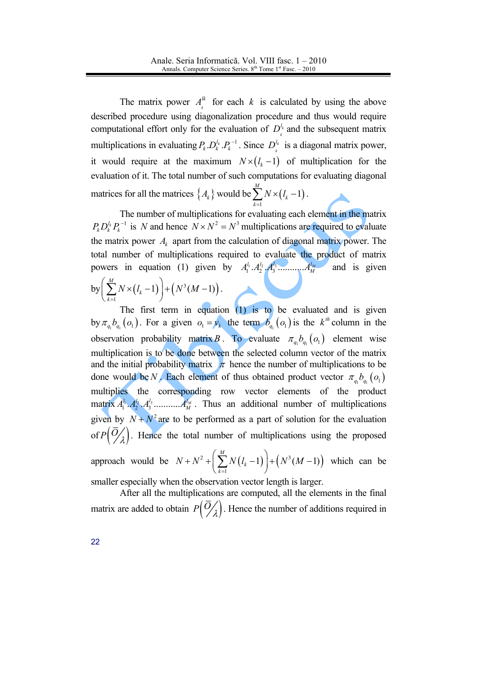The matrix power  $A_k^{lk}$  for each k is calculated by using the above described procedure using diagonalization procedure and thus would require computational effort only for the evaluation of  $D^{\ell_k}$  and the subsequent matrix multiplications in evaluating  $P_k \cdot D_k^{l_k} \cdot P_k^{-1}$ . Since  $D_k^{l_k}$  is a diagonal matrix power, it would require at the maximum  $N \times (l_k - 1)$  of multiplication for the evaluation of it. The total number of such computations for evaluating diagonal matrices for all the matrices  $\{A_k\}$  would be  $\sum_{k=1}^{M} N \times (l_k - 1)$ .

The number of multiplications for evaluating each element in the matrix  $P_{k}D_{k}^{l_{k}}P_{k}^{-1}$  is N and hence  $N \times N^{2} = N^{3}$  multiplications are required to evaluate the matrix power  $A_k$  apart from the calculation of diagonal matrix power. The total number of multiplications required to evaluate the product of matrix powers in equation (1) given by  $A_1^{l_1} A_2^{l_2} A_3^{l_3} \dots A_M^{l_M}$ and is given by  $\left(\sum_{k=1}^{M} N \times (l_k - 1)\right) + (N^3(M - 1)).$ 

The first term in equation  $(1)$  is to be evaluated and is given by  $\pi_{q_1}b_{q_1}(o_1)$ . For a given  $o_1 = v_k$  the term  $b_{q_1}(o_1)$  is the  $k^{th}$  column in the observation probability matrix B. To evaluate  $\pi_{q_1}b_{q_1}(o_1)$  element wise multiplication is to be done between the selected column vector of the matrix and the initial probability matrix  $\pi$  hence the number of multiplications to be done would be N. Each element of thus obtained product vector  $\pi_{a}$ ,  $b_{a}$ ,  $(o_{1})$ multiplies the corresponding row vector elements of the product given by  $N + N^2$  are to be performed as a part of solution for the evaluation of  $P(\overline{O}_A)$ . Hence the total number of multiplications using the proposed approach would be  $N+N^2+\left(\sum_{i=1}^{M}N(l_{k}-1)\right)+\left(N^3(M-1)\right)$  which can be

smaller especially when the observation vector length is larger.

After all the multiplications are computed, all the elements in the final matrix are added to obtain  $P\left(\frac{O}{\lambda}\right)$ . Hence the number of additions required in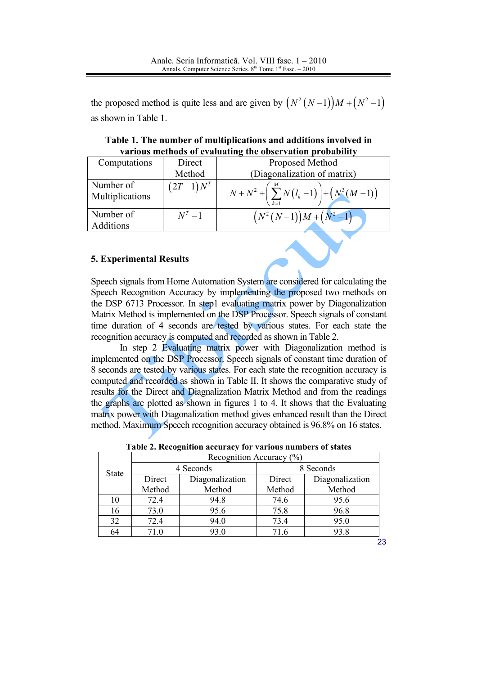the proposed method is quite less and are given by  $(N^2(N-1))M + (N^2-1)$ as shown in Table 1.

| Table 1. The number of multiplications and additions involved in |  |
|------------------------------------------------------------------|--|
| various methods of evaluating the observation probability        |  |

| Computations                  | Direct      | Proposed Method                                                    |
|-------------------------------|-------------|--------------------------------------------------------------------|
|                               | Method      | (Diagonalization of matrix)                                        |
| Number of<br>Multiplications  | $(2T-1)N^T$ | $N+N^2+\left(\sum_{k=1}^{M} N(l_k-1)\right)+\left(N^3(M-1)\right)$ |
| Number of<br><b>Additions</b> | $N^T-1$     | $(N^2(N-1))M+(N^2-1)$                                              |

# **5. Experimental Results**

Speech signals from Home Automation System are considered for calculating the Speech Recognition Accuracy by implementing the proposed two methods on the DSP 6713 Processor. In step1 evaluating matrix power by Diagonalization Matrix Method is implemented on the DSP Processor. Speech signals of constant time duration of 4 seconds are tested by various states. For each state the recognition accuracy is computed and recorded as shown in Table 2.

In step 2 Evaluating matrix power with Diagonalization method is implemented on the DSP Processor. Speech signals of constant time duration of 8 seconds are tested by various states. For each state the recognition accuracy is computed and recorded as shown in Table II. It shows the comparative study of results for the Direct and Diagnalization Matrix Method and from the readings the graphs are plotted as shown in figures 1 to 4. It shows that the Evaluating matrix power with Diagonalization method gives enhanced result than the Direct method. Maximum Speech recognition accuracy obtained is 96.8% on 16 states.

| Recognition Accuracy $(\%)$ |                 |           |                 |  |  |
|-----------------------------|-----------------|-----------|-----------------|--|--|
|                             |                 | 8 Seconds |                 |  |  |
| Direct                      | Diagonalization | Direct    | Diagonalization |  |  |
| Method                      | Method          | Method    | Method          |  |  |
| 72.4                        | 94.8            | 74.6      | 95.6            |  |  |
| 73.0                        | 95.6            | 75.8      | 96.8            |  |  |
| 72.4                        | 94.0            | 73.4      | 95.0            |  |  |
| 71.0                        | 93.0            | 71.6      | 93.8            |  |  |
|                             |                 | 4 Seconds |                 |  |  |

Table 2. Recognition accuracy for various numbers of states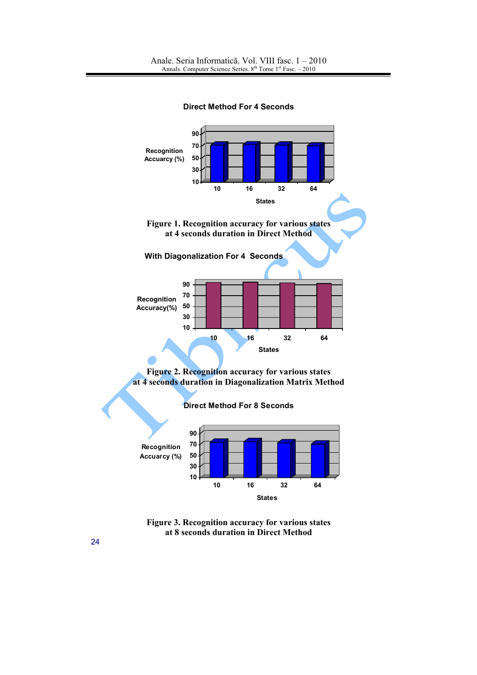**Direct Method For 4 Seconds** 



Figure 3. Recognition accuracy for various states at 8 seconds duration in Direct Method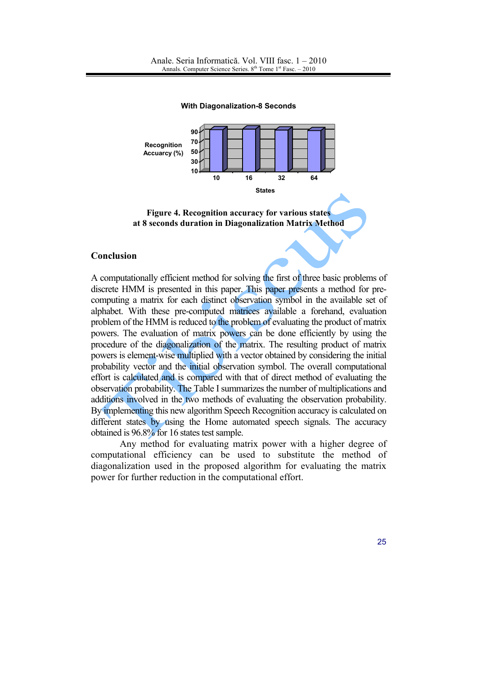

**With Diagonalization-8 Seconds** 

#### **Conclusion**

A computationally efficient method for solving the first of three basic problems of discrete HMM is presented in this paper. This paper presents a method for precomputing a matrix for each distinct observation symbol in the available set of alphabet. With these pre-computed matrices available a forehand, evaluation problem of the HMM is reduced to the problem of evaluating the product of matrix powers. The evaluation of matrix powers can be done efficiently by using the procedure of the diagonalization of the matrix. The resulting product of matrix powers is element-wise multiplied with a vector obtained by considering the initial probability vector and the initial observation symbol. The overall computational effort is calculated and is compared with that of direct method of evaluating the observation probability. The Table I summarizes the number of multiplications and additions involved in the two methods of evaluating the observation probability. By implementing this new algorithm Speech Recognition accuracy is calculated on different states by using the Home automated speech signals. The accuracy obtained is 96.8% for 16 states test sample.

Any method for evaluating matrix power with a higher degree of computational efficiency can be used to substitute the method of diagonalization used in the proposed algorithm for evaluating the matrix power for further reduction in the computational effort.

Figure 4. Recognition accuracy for various states at 8 seconds duration in Diagonalization Matrix Method